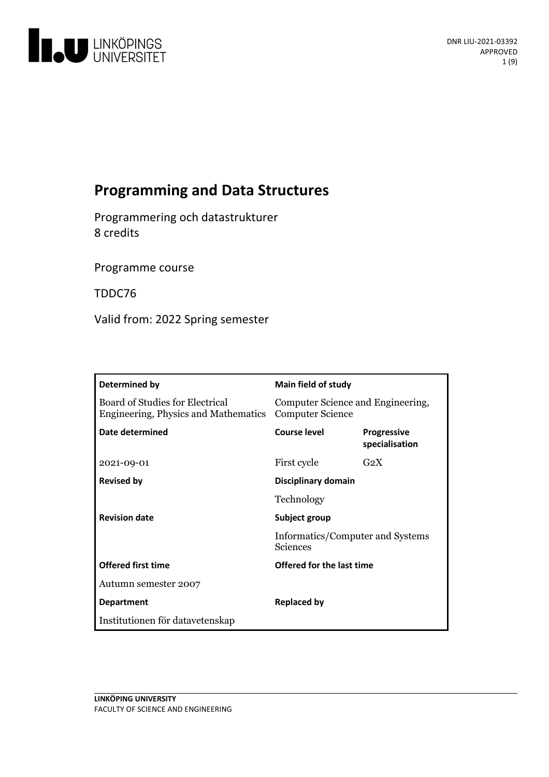

# **Programming and Data Structures**

Programmering och datastrukturer 8 credits

Programme course

TDDC76

Valid from: 2022 Spring semester

| Determined by                                                           | Main field of study                                           |                                      |
|-------------------------------------------------------------------------|---------------------------------------------------------------|--------------------------------------|
| Board of Studies for Electrical<br>Engineering, Physics and Mathematics | Computer Science and Engineering,<br><b>Computer Science</b>  |                                      |
| Date determined                                                         | <b>Course level</b>                                           | <b>Progressive</b><br>specialisation |
| 2021-09-01                                                              | First cycle                                                   | $G_2X$                               |
| <b>Revised by</b>                                                       | Disciplinary domain                                           |                                      |
|                                                                         | Technology                                                    |                                      |
| <b>Revision date</b>                                                    | Subject group<br>Informatics/Computer and Systems<br>Sciences |                                      |
|                                                                         |                                                               |                                      |
| <b>Offered first time</b>                                               | Offered for the last time                                     |                                      |
| Autumn semester 2007                                                    |                                                               |                                      |
| <b>Department</b>                                                       | Replaced by                                                   |                                      |
| Institutionen för datavetenskap                                         |                                                               |                                      |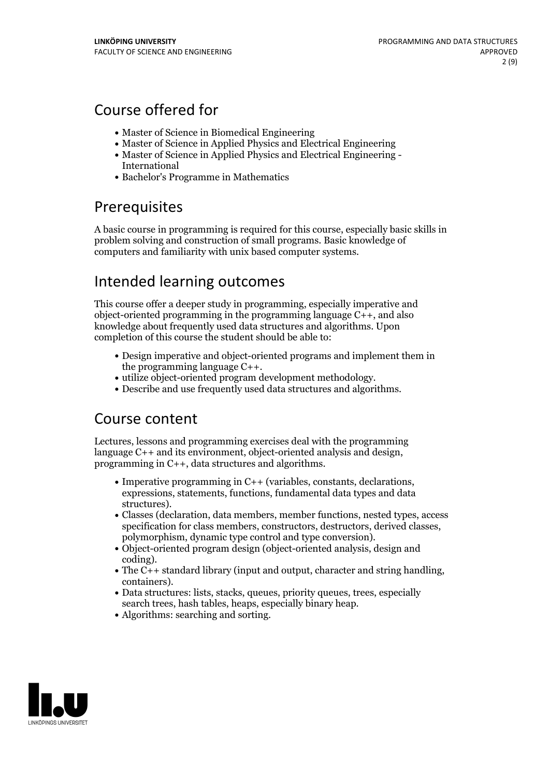## Course offered for

- Master of Science in Biomedical Engineering
- Master of Science in Applied Physics and Electrical Engineering
- Master of Science in Applied Physics and Electrical Engineering International
- Bachelor's Programme in Mathematics

## Prerequisites

A basic course in programming is required for this course, especially basic skills in problem solving and construction of small programs. Basic knowledge of computers and familiarity with unix based computer systems.

## Intended learning outcomes

This course offer a deeper study in programming, especially imperative and object-oriented programming in the programming language C++, and also knowledge about frequently used data structures and algorithms. Upon completion of this course the student should be able to:

- Design imperative and object-oriented programs and implement them in
- the programming language C++.<br>
utilize object-oriented program development methodology.<br>
Describe and use frequently used data structures and algorithms.
- 

## Course content

Lectures, lessons and programming exercises deal with the programming language C++ and its environment, object-oriented analysis and design, programming in C++, data structures and algorithms.

- Imperative programming in C++ (variables, constants, declarations, expressions, statements, functions, fundamental data types and data
- structures). Classes (declaration, data members, member functions, nested types, access specification for class members, constructors, destructors, derived classes, polymorphism, dynamic type control and type conversion).<br>• Object-oriented program design (object-oriented analysis, design and
- 
- coding).<br>
The C++ standard library (input and output, character and string handling, containers).<br>
Data structures: lists, stacks, queues, priority queues, trees, especially
- search trees, hash tables, heaps, especially binary heap.<br>• Algorithms: searching and sorting.
- 

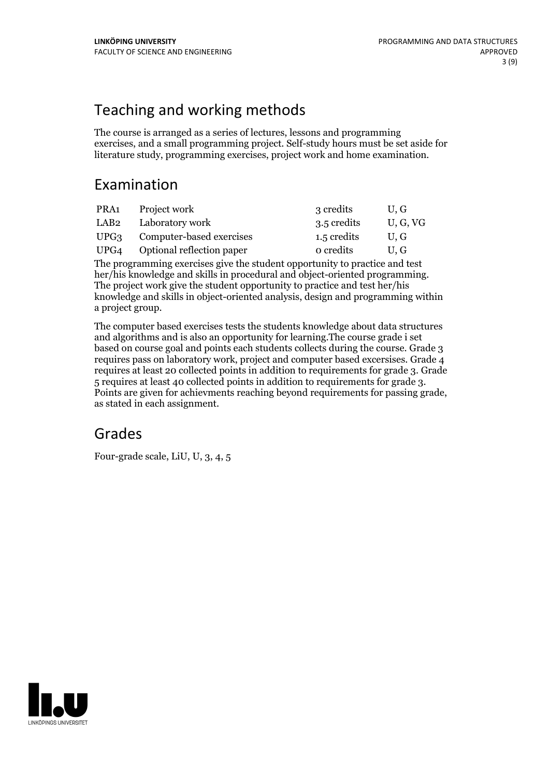# Teaching and working methods

The course is arranged as a series of lectures, lessons and programming exercises, and a small programming project. Self-study hours must be set aside for literature study, programming exercises, project work and home examination.

## Examination

|      | PRA1 Project work              | 3 credits   | U.G      |
|------|--------------------------------|-------------|----------|
| LAB2 | Laboratory work                | 3.5 credits | U, G, VG |
|      | UPG3 Computer-based exercises  | 1.5 credits | U.G      |
|      | UPG4 Optional reflection paper | o credits   | U.G      |
|      |                                |             |          |

The programming exercises give the student opportunity to practice and test her/his knowledge and skills in procedural and object-oriented programming. The project work give the student opportunity to practice and test her/his knowledge and skills in object-oriented analysis, design and programming within a project group.

The computer based exercises tests the students knowledge about data structures and algorithms and is also an opportunity for learning.The course grade i set based on course goal and points each students collects during the course. Grade 3 requires pass on laboratory work, project and computer based excersises. Grade 4 requires at least 20 collected points in addition to requirements for grade 3. Grade Points are given for achievments reaching beyond requirements for passing grade, as stated in each assignment.

## Grades

Four-grade scale, LiU, U, 3, 4, 5

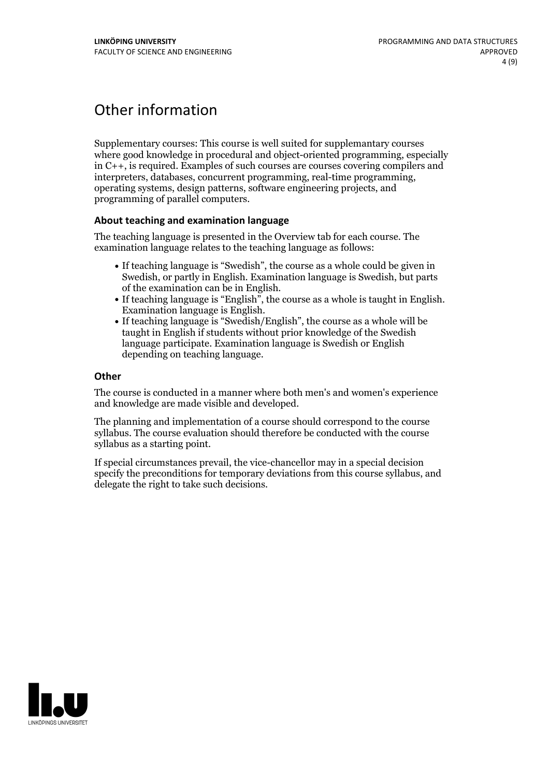# Other information

Supplementary courses: This course is well suited for supplemantary courses where good knowledge in procedural and object-oriented programming, especially in C++, is required. Examples of such courses are courses covering compilers and interpreters, databases, concurrent programming, real-time programming, operating systems, design patterns, software engineering projects, and programming of parallel computers.

### **About teaching and examination language**

The teaching language is presented in the Overview tab for each course. The examination language relates to the teaching language as follows:

- If teaching language is "Swedish", the course as a whole could be given in Swedish, or partly in English. Examination language is Swedish, but parts
- If teaching language is "English", the course as a whole is taught in English. Examination language is English. <br>• If teaching language is "Swedish/English", the course as a whole will be
- taught in English if students without prior knowledge of the Swedish language participate. Examination language is Swedish or English depending on teaching language.

### **Other**

The course is conducted in a manner where both men's and women's experience and knowledge are made visible and developed.

The planning and implementation of a course should correspond to the course syllabus. The course evaluation should therefore be conducted with the course syllabus as a starting point.

If special circumstances prevail, the vice-chancellor may in a special decision specify the preconditions for temporary deviations from this course syllabus, and delegate the right to take such decisions.

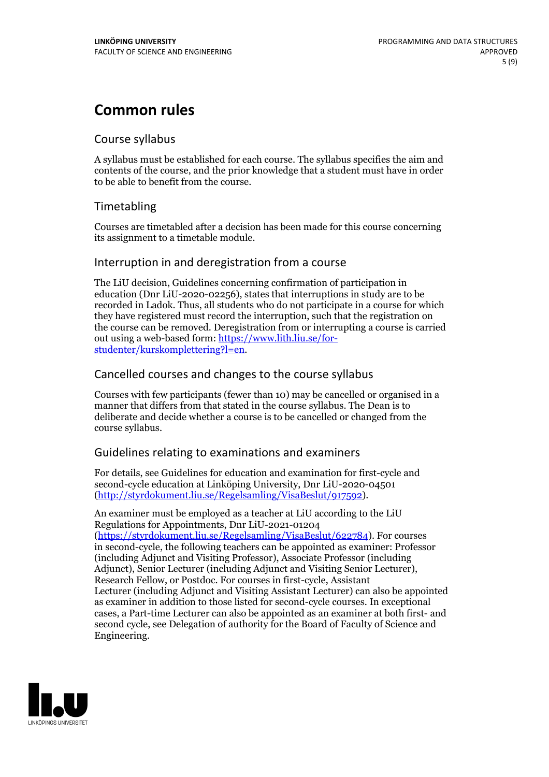## **Common rules**

## Course syllabus

A syllabus must be established for each course. The syllabus specifies the aim and contents of the course, and the prior knowledge that a student must have in order to be able to benefit from the course.

## Timetabling

Courses are timetabled after a decision has been made for this course concerning its assignment to a timetable module.

### Interruption in and deregistration from a course

The LiU decision, Guidelines concerning confirmation of participation in education (Dnr LiU-2020-02256), states that interruptions in study are to be recorded in Ladok. Thus, all students who do not participate in a course for which they have registered must record the interruption, such that the registration on the course can be removed. Deregistration from or interrupting a course is carried out using <sup>a</sup> web-based form: https://www.lith.liu.se/for- [studenter/kurskomplettering?l=en.](https://www.lith.liu.se/for-studenter/kurskomplettering?l=en)

## Cancelled courses and changes to the course syllabus

Courses with few participants (fewer than 10) may be cancelled or organised in a manner that differs from that stated in the course syllabus. The Dean is to deliberate and decide whether a course is to be cancelled or changed from the course syllabus.

## Guidelines relating to examinations and examiners

For details, see Guidelines for education and examination for first-cycle and second-cycle education at Linköping University, Dnr LiU-2020-04501 [\(http://styrdokument.liu.se/Regelsamling/VisaBeslut/917592\)](http://styrdokument.liu.se/Regelsamling/VisaBeslut/917592).

An examiner must be employed as a teacher at LiU according to the LiU Regulations for Appointments, Dnr LiU-2021-01204 [\(https://styrdokument.liu.se/Regelsamling/VisaBeslut/622784](https://styrdokument.liu.se/Regelsamling/VisaBeslut/622784)). For courses in second-cycle, the following teachers can be appointed as examiner: Professor (including Adjunct and Visiting Professor), Associate Professor (including Adjunct), Senior Lecturer (including Adjunct and Visiting Senior Lecturer), Research Fellow, or Postdoc. For courses in first-cycle, Assistant Lecturer (including Adjunct and Visiting Assistant Lecturer) can also be appointed as examiner in addition to those listed for second-cycle courses. In exceptional cases, a Part-time Lecturer can also be appointed as an examiner at both first- and second cycle, see Delegation of authority for the Board of Faculty of Science and Engineering.

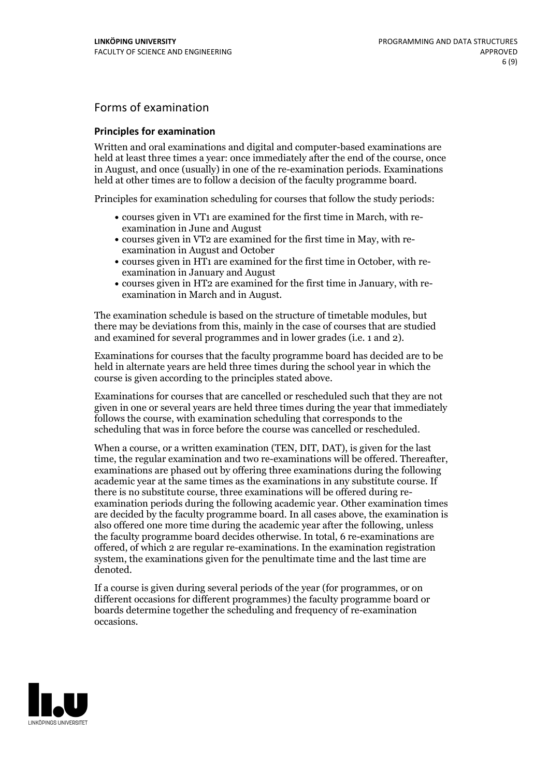## Forms of examination

#### **Principles for examination**

Written and oral examinations and digital and computer-based examinations are held at least three times a year: once immediately after the end of the course, once in August, and once (usually) in one of the re-examination periods. Examinations held at other times are to follow a decision of the faculty programme board.

Principles for examination scheduling for courses that follow the study periods:

- courses given in VT1 are examined for the first time in March, with re-examination in June and August
- courses given in VT2 are examined for the first time in May, with re-examination in August and October
- courses given in HT1 are examined for the first time in October, with re-examination in January and August
- courses given in HT2 are examined for the first time in January, with re-examination in March and in August.

The examination schedule is based on the structure of timetable modules, but there may be deviations from this, mainly in the case of courses that are studied and examined for several programmes and in lower grades (i.e. 1 and 2).

Examinations for courses that the faculty programme board has decided are to be held in alternate years are held three times during the school year in which the course is given according to the principles stated above.

Examinations for courses that are cancelled orrescheduled such that they are not given in one or several years are held three times during the year that immediately follows the course, with examination scheduling that corresponds to the scheduling that was in force before the course was cancelled or rescheduled.

When a course, or a written examination (TEN, DIT, DAT), is given for the last time, the regular examination and two re-examinations will be offered. Thereafter, examinations are phased out by offering three examinations during the following academic year at the same times as the examinations in any substitute course. If there is no substitute course, three examinations will be offered during re- examination periods during the following academic year. Other examination times are decided by the faculty programme board. In all cases above, the examination is also offered one more time during the academic year after the following, unless the faculty programme board decides otherwise. In total, 6 re-examinations are offered, of which 2 are regular re-examinations. In the examination registration system, the examinations given for the penultimate time and the last time are denoted.

If a course is given during several periods of the year (for programmes, or on different occasions for different programmes) the faculty programme board or boards determine together the scheduling and frequency of re-examination occasions.

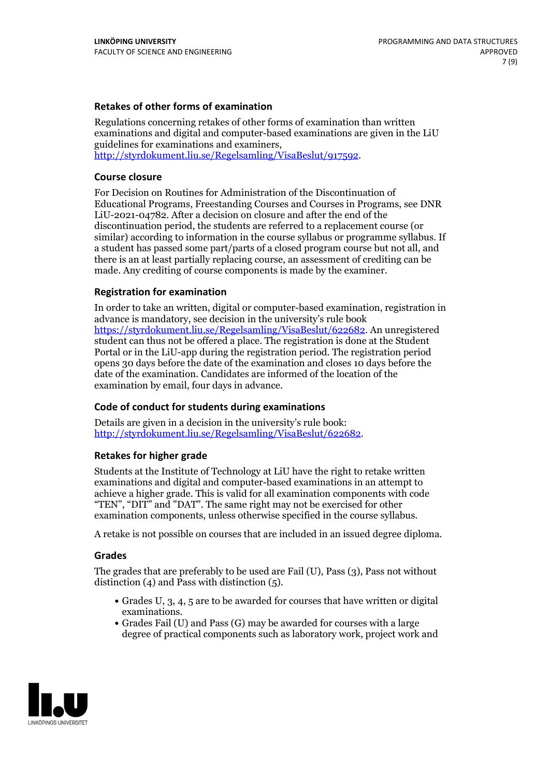### **Retakes of other forms of examination**

Regulations concerning retakes of other forms of examination than written examinations and digital and computer-based examinations are given in the LiU guidelines for examinations and examiners, [http://styrdokument.liu.se/Regelsamling/VisaBeslut/917592.](http://styrdokument.liu.se/Regelsamling/VisaBeslut/917592)

#### **Course closure**

For Decision on Routines for Administration of the Discontinuation of Educational Programs, Freestanding Courses and Courses in Programs, see DNR LiU-2021-04782. After a decision on closure and after the end of the discontinuation period, the students are referred to a replacement course (or similar) according to information in the course syllabus or programme syllabus. If a student has passed some part/parts of a closed program course but not all, and there is an at least partially replacing course, an assessment of crediting can be made. Any crediting of course components is made by the examiner.

### **Registration for examination**

In order to take an written, digital or computer-based examination, registration in advance is mandatory, see decision in the university's rule book [https://styrdokument.liu.se/Regelsamling/VisaBeslut/622682.](https://styrdokument.liu.se/Regelsamling/VisaBeslut/622682) An unregistered student can thus not be offered a place. The registration is done at the Student Portal or in the LiU-app during the registration period. The registration period opens 30 days before the date of the examination and closes 10 days before the date of the examination. Candidates are informed of the location of the examination by email, four days in advance.

### **Code of conduct for students during examinations**

Details are given in a decision in the university's rule book: <http://styrdokument.liu.se/Regelsamling/VisaBeslut/622682>.

#### **Retakes for higher grade**

Students at the Institute of Technology at LiU have the right to retake written examinations and digital and computer-based examinations in an attempt to achieve a higher grade. This is valid for all examination components with code "TEN", "DIT" and "DAT". The same right may not be exercised for other examination components, unless otherwise specified in the course syllabus.

A retake is not possible on courses that are included in an issued degree diploma.

#### **Grades**

The grades that are preferably to be used are Fail (U), Pass (3), Pass not without distinction  $(4)$  and Pass with distinction  $(5)$ .

- Grades U, 3, 4, 5 are to be awarded for courses that have written or digital examinations.<br>• Grades Fail (U) and Pass (G) may be awarded for courses with a large
- degree of practical components such as laboratory work, project work and

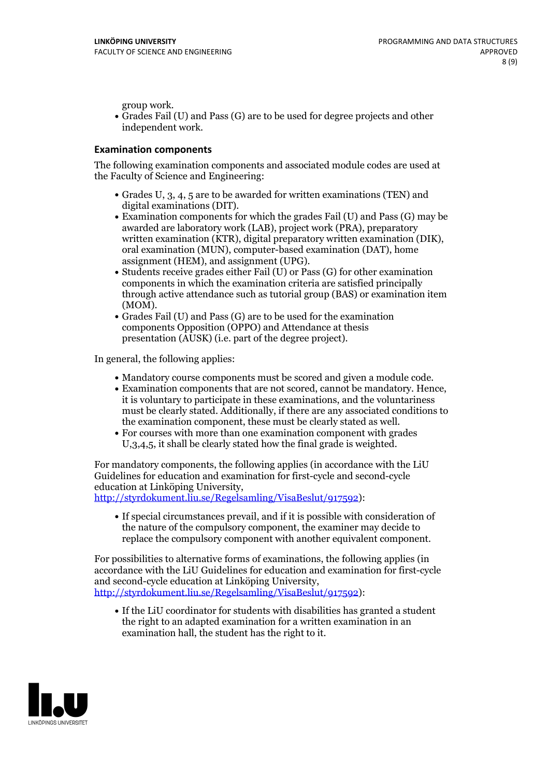group work.<br>• Grades Fail (U) and Pass (G) are to be used for degree projects and other independent work.

#### **Examination components**

The following examination components and associated module codes are used at the Faculty of Science and Engineering:

- Grades U, 3, 4, 5 are to be awarded for written examinations (TEN) and
- digital examinations (DIT).<br>• Examination components for which the grades Fail (U) and Pass (G) may be awarded are laboratory work (LAB), project work (PRA), preparatory written examination (KTR), digital preparatory written examination (DIK), oral examination (MUN), computer-based examination (DAT), home
- assignment (HEM), and assignment (UPG).<br>• Students receive grades either Fail (U) or Pass (G) for other examination components in which the examination criteria are satisfied principally through active attendance such as tutorial group (BAS) or examination item
- (MOM).<br>• Grades Fail (U) and Pass (G) are to be used for the examination components Opposition (OPPO) and Attendance at thesis presentation (AUSK) (i.e. part of the degree project).

In general, the following applies:

- 
- Mandatory course components must be scored and given <sup>a</sup> module code. Examination components that are not scored, cannot be mandatory. Hence, it is voluntary to participate in these examinations, and the voluntariness must be clearly stated. Additionally, if there are any associated conditions to
- the examination component, these must be clearly stated as well.<br>• For courses with more than one examination component with grades U,3,4,5, it shall be clearly stated how the final grade is weighted.

For mandatory components, the following applies (in accordance with the LiU Guidelines for education and examination for first-cycle and second-cycle education at Linköping University,<br>[http://styrdokument.liu.se/Regelsamling/VisaBeslut/917592\)](http://styrdokument.liu.se/Regelsamling/VisaBeslut/917592):

If special circumstances prevail, and if it is possible with consideration of the nature of the compulsory component, the examiner may decide to replace the compulsory component with another equivalent component.

For possibilities to alternative forms of examinations, the following applies (in accordance with the LiU Guidelines for education and examination for first-cycle [http://styrdokument.liu.se/Regelsamling/VisaBeslut/917592\)](http://styrdokument.liu.se/Regelsamling/VisaBeslut/917592):

If the LiU coordinator for students with disabilities has granted a student the right to an adapted examination for a written examination in an examination hall, the student has the right to it.